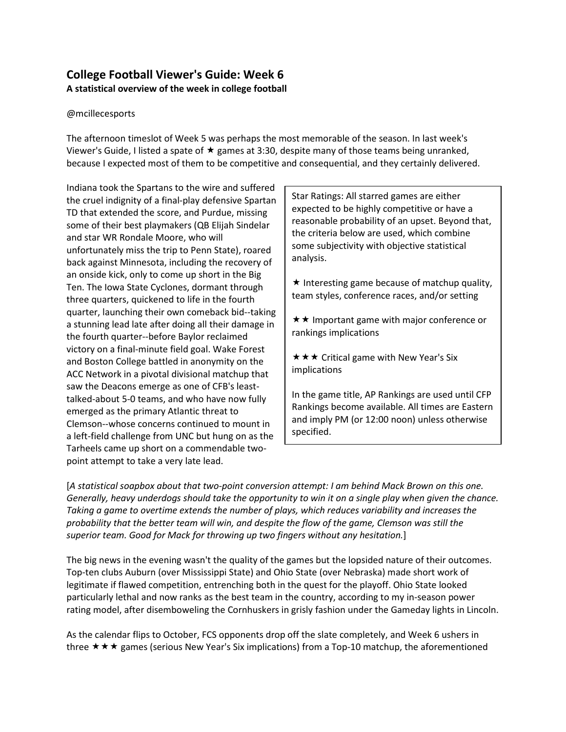# **College Football Viewer's Guide: Week 6 A statistical overview of the week in college football**

#### @mcillecesports

The afternoon timeslot of Week 5 was perhaps the most memorable of the season. In last week's Viewer's Guide, I listed a spate of  $\star$  games at 3:30, despite many of those teams being unranked, because I expected most of them to be competitive and consequential, and they certainly delivered.

Indiana took the Spartans to the wire and suffered the cruel indignity of a final-play defensive Spartan TD that extended the score, and Purdue, missing some of their best playmakers (QB Elijah Sindelar and star WR Rondale Moore, who will unfortunately miss the trip to Penn State), roared back against Minnesota, including the recovery of an onside kick, only to come up short in the Big Ten. The Iowa State Cyclones, dormant through three quarters, quickened to life in the fourth quarter, launching their own comeback bid--taking a stunning lead late after doing all their damage in the fourth quarter--before Baylor reclaimed victory on a final-minute field goal. Wake Forest and Boston College battled in anonymity on the ACC Network in a pivotal divisional matchup that saw the Deacons emerge as one of CFB's leasttalked-about 5-0 teams, and who have now fully emerged as the primary Atlantic threat to Clemson--whose concerns continued to mount in a left-field challenge from UNC but hung on as the Tarheels came up short on a commendable twopoint attempt to take a very late lead.

Star Ratings: All starred games are either expected to be highly competitive or have a reasonable probability of an upset. Beyond that, the criteria below are used, which combine some subjectivity with objective statistical analysis.

 $\star$  Interesting game because of matchup quality, team styles, conference races, and/or setting

 $\star \star$  Important game with major conference or rankings implications

 $\star \star \star$  Critical game with New Year's Six implications

In the game title, AP Rankings are used until CFP Rankings become available. All times are Eastern and imply PM (or 12:00 noon) unless otherwise specified.

[*A statistical soapbox about that two-point conversion attempt: I am behind Mack Brown on this one. Generally, heavy underdogs should take the opportunity to win it on a single play when given the chance. Taking a game to overtime extends the number of plays, which reduces variability and increases the probability that the better team will win, and despite the flow of the game, Clemson was still the superior team. Good for Mack for throwing up two fingers without any hesitation.*]

The big news in the evening wasn't the quality of the games but the lopsided nature of their outcomes. Top-ten clubs Auburn (over Mississippi State) and Ohio State (over Nebraska) made short work of legitimate if flawed competition, entrenching both in the quest for the playoff. Ohio State looked particularly lethal and now ranks as the best team in the country, according to my in-season power rating model, after disemboweling the Cornhuskers in grisly fashion under the Gameday lights in Lincoln.

As the calendar flips to October, FCS opponents drop off the slate completely, and Week 6 ushers in three  $\star \star \star$  games (serious New Year's Six implications) from a Top-10 matchup, the aforementioned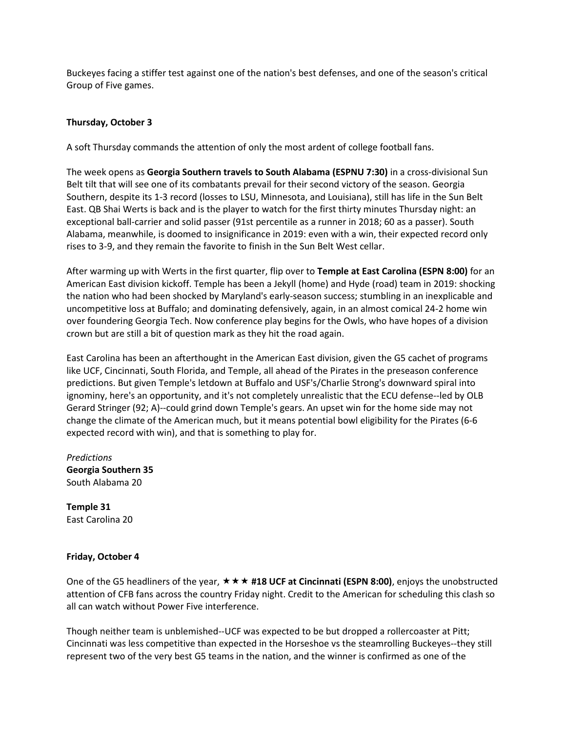Buckeyes facing a stiffer test against one of the nation's best defenses, and one of the season's critical Group of Five games.

## **Thursday, October 3**

A soft Thursday commands the attention of only the most ardent of college football fans.

The week opens as **Georgia Southern travels to South Alabama (ESPNU 7:30)** in a cross-divisional Sun Belt tilt that will see one of its combatants prevail for their second victory of the season. Georgia Southern, despite its 1-3 record (losses to LSU, Minnesota, and Louisiana), still has life in the Sun Belt East. QB Shai Werts is back and is the player to watch for the first thirty minutes Thursday night: an exceptional ball-carrier and solid passer (91st percentile as a runner in 2018; 60 as a passer). South Alabama, meanwhile, is doomed to insignificance in 2019: even with a win, their expected record only rises to 3-9, and they remain the favorite to finish in the Sun Belt West cellar.

After warming up with Werts in the first quarter, flip over to **Temple at East Carolina (ESPN 8:00)** for an American East division kickoff. Temple has been a Jekyll (home) and Hyde (road) team in 2019: shocking the nation who had been shocked by Maryland's early-season success; stumbling in an inexplicable and uncompetitive loss at Buffalo; and dominating defensively, again, in an almost comical 24-2 home win over foundering Georgia Tech. Now conference play begins for the Owls, who have hopes of a division crown but are still a bit of question mark as they hit the road again.

East Carolina has been an afterthought in the American East division, given the G5 cachet of programs like UCF, Cincinnati, South Florida, and Temple, all ahead of the Pirates in the preseason conference predictions. But given Temple's letdown at Buffalo and USF's/Charlie Strong's downward spiral into ignominy, here's an opportunity, and it's not completely unrealistic that the ECU defense--led by OLB Gerard Stringer (92; A)--could grind down Temple's gears. An upset win for the home side may not change the climate of the American much, but it means potential bowl eligibility for the Pirates (6-6 expected record with win), and that is something to play for.

*Predictions* **Georgia Southern 35** South Alabama 20

**Temple 31** East Carolina 20

#### **Friday, October 4**

One of the G5 headliners of the year, **#18 UCF at Cincinnati (ESPN 8:00)**, enjoys the unobstructed attention of CFB fans across the country Friday night. Credit to the American for scheduling this clash so all can watch without Power Five interference.

Though neither team is unblemished--UCF was expected to be but dropped a rollercoaster at Pitt; Cincinnati was less competitive than expected in the Horseshoe vs the steamrolling Buckeyes--they still represent two of the very best G5 teams in the nation, and the winner is confirmed as one of the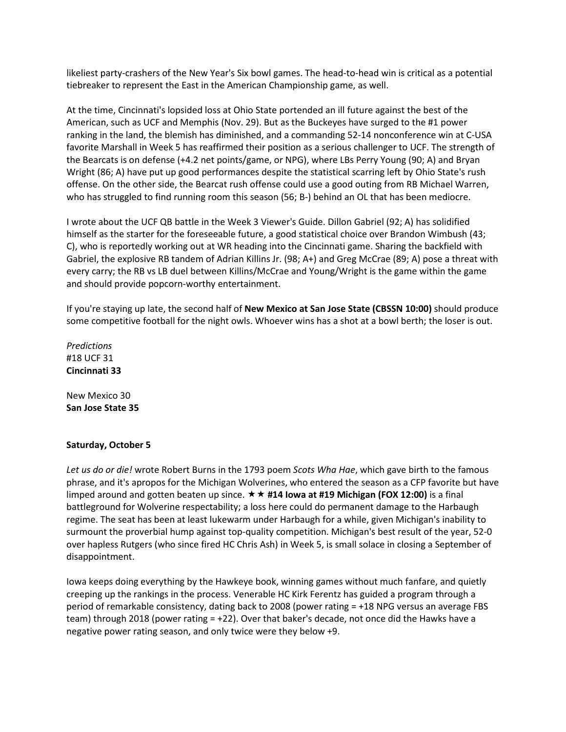likeliest party-crashers of the New Year's Six bowl games. The head-to-head win is critical as a potential tiebreaker to represent the East in the American Championship game, as well.

At the time, Cincinnati's lopsided loss at Ohio State portended an ill future against the best of the American, such as UCF and Memphis (Nov. 29). But as the Buckeyes have surged to the #1 power ranking in the land, the blemish has diminished, and a commanding 52-14 nonconference win at C-USA favorite Marshall in Week 5 has reaffirmed their position as a serious challenger to UCF. The strength of the Bearcats is on defense (+4.2 net points/game, or NPG), where LBs Perry Young (90; A) and Bryan Wright (86; A) have put up good performances despite the statistical scarring left by Ohio State's rush offense. On the other side, the Bearcat rush offense could use a good outing from RB Michael Warren, who has struggled to find running room this season (56; B-) behind an OL that has been mediocre.

I wrote about the UCF QB battle in the Week 3 Viewer's Guide. Dillon Gabriel (92; A) has solidified himself as the starter for the foreseeable future, a good statistical choice over Brandon Wimbush (43; C), who is reportedly working out at WR heading into the Cincinnati game. Sharing the backfield with Gabriel, the explosive RB tandem of Adrian Killins Jr. (98; A+) and Greg McCrae (89; A) pose a threat with every carry; the RB vs LB duel between Killins/McCrae and Young/Wright is the game within the game and should provide popcorn-worthy entertainment.

If you're staying up late, the second half of **New Mexico at San Jose State (CBSSN 10:00)** should produce some competitive football for the night owls. Whoever wins has a shot at a bowl berth; the loser is out.

*Predictions* #18 UCF 31 **Cincinnati 33**

New Mexico 30 **San Jose State 35**

## **Saturday, October 5**

*Let us do or die!* wrote Robert Burns in the 1793 poem *Scots Wha Hae*, which gave birth to the famous phrase, and it's apropos for the Michigan Wolverines, who entered the season as a CFP favorite but have limped around and gotten beaten up since. **#14 Iowa at #19 Michigan (FOX 12:00)** is a final battleground for Wolverine respectability; a loss here could do permanent damage to the Harbaugh regime. The seat has been at least lukewarm under Harbaugh for a while, given Michigan's inability to surmount the proverbial hump against top-quality competition. Michigan's best result of the year, 52-0 over hapless Rutgers (who since fired HC Chris Ash) in Week 5, is small solace in closing a September of disappointment.

Iowa keeps doing everything by the Hawkeye book, winning games without much fanfare, and quietly creeping up the rankings in the process. Venerable HC Kirk Ferentz has guided a program through a period of remarkable consistency, dating back to 2008 (power rating = +18 NPG versus an average FBS team) through 2018 (power rating = +22). Over that baker's decade, not once did the Hawks have a negative power rating season, and only twice were they below +9.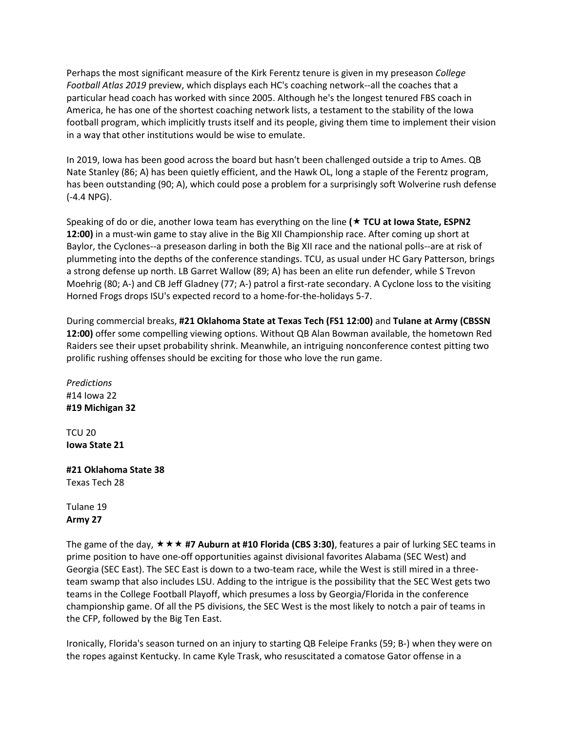Perhaps the most significant measure of the Kirk Ferentz tenure is given in my preseason *College Football Atlas 2019* preview, which displays each HC's coaching network--all the coaches that a particular head coach has worked with since 2005. Although he's the longest tenured FBS coach in America, he has one of the shortest coaching network lists, a testament to the stability of the Iowa football program, which implicitly trusts itself and its people, giving them time to implement their vision in a way that other institutions would be wise to emulate.

In 2019, Iowa has been good across the board but hasn't been challenged outside a trip to Ames. QB Nate Stanley (86; A) has been quietly efficient, and the Hawk OL, long a staple of the Ferentz program, has been outstanding (90; A), which could pose a problem for a surprisingly soft Wolverine rush defense (-4.4 NPG).

Speaking of do or die, another Iowa team has everything on the line **( TCU at Iowa State, ESPN2 12:00)** in a must-win game to stay alive in the Big XII Championship race. After coming up short at Baylor, the Cyclones--a preseason darling in both the Big XII race and the national polls--are at risk of plummeting into the depths of the conference standings. TCU, as usual under HC Gary Patterson, brings a strong defense up north. LB Garret Wallow (89; A) has been an elite run defender, while S Trevon Moehrig (80; A-) and CB Jeff Gladney (77; A-) patrol a first-rate secondary. A Cyclone loss to the visiting Horned Frogs drops ISU's expected record to a home-for-the-holidays 5-7.

During commercial breaks, **#21 Oklahoma State at Texas Tech (FS1 12:00)** and **Tulane at Army (CBSSN 12:00)** offer some compelling viewing options. Without QB Alan Bowman available, the hometown Red Raiders see their upset probability shrink. Meanwhile, an intriguing nonconference contest pitting two prolific rushing offenses should be exciting for those who love the run game.

*Predictions* #14 Iowa 22 **#19 Michigan 32**

TCU 20 **Iowa State 21**

**#21 Oklahoma State 38** Texas Tech 28

Tulane 19 **Army 27**

The game of the day, **#7 Auburn at #10 Florida (CBS 3:30)**, features a pair of lurking SEC teams in prime position to have one-off opportunities against divisional favorites Alabama (SEC West) and Georgia (SEC East). The SEC East is down to a two-team race, while the West is still mired in a threeteam swamp that also includes LSU. Adding to the intrigue is the possibility that the SEC West gets two teams in the College Football Playoff, which presumes a loss by Georgia/Florida in the conference championship game. Of all the P5 divisions, the SEC West is the most likely to notch a pair of teams in the CFP, followed by the Big Ten East.

Ironically, Florida's season turned on an injury to starting QB Feleipe Franks (59; B-) when they were on the ropes against Kentucky. In came Kyle Trask, who resuscitated a comatose Gator offense in a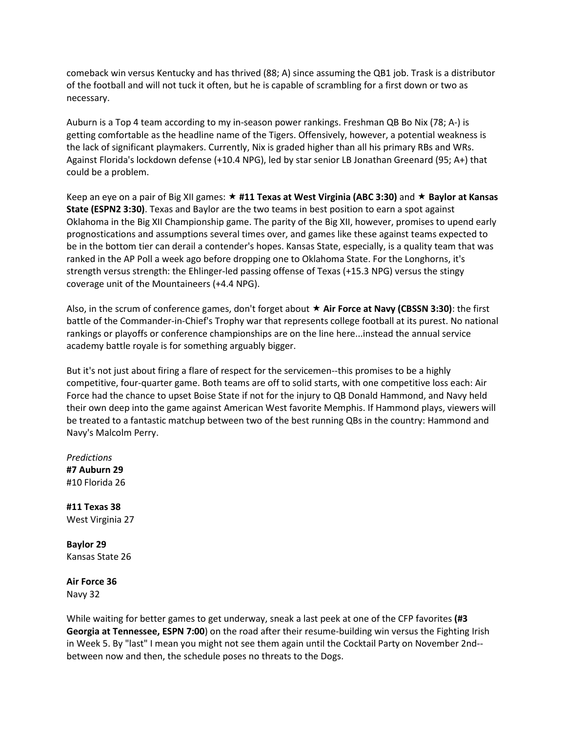comeback win versus Kentucky and has thrived (88; A) since assuming the QB1 job. Trask is a distributor of the football and will not tuck it often, but he is capable of scrambling for a first down or two as necessary.

Auburn is a Top 4 team according to my in-season power rankings. Freshman QB Bo Nix (78; A-) is getting comfortable as the headline name of the Tigers. Offensively, however, a potential weakness is the lack of significant playmakers. Currently, Nix is graded higher than all his primary RBs and WRs. Against Florida's lockdown defense (+10.4 NPG), led by star senior LB Jonathan Greenard (95; A+) that could be a problem.

Keep an eye on a pair of Big XII games: ★ #11 Texas at West Virginia (ABC 3:30) and ★ Baylor at Kansas **State (ESPN2 3:30)**. Texas and Baylor are the two teams in best position to earn a spot against Oklahoma in the Big XII Championship game. The parity of the Big XII, however, promises to upend early prognostications and assumptions several times over, and games like these against teams expected to be in the bottom tier can derail a contender's hopes. Kansas State, especially, is a quality team that was ranked in the AP Poll a week ago before dropping one to Oklahoma State. For the Longhorns, it's strength versus strength: the Ehlinger-led passing offense of Texas (+15.3 NPG) versus the stingy coverage unit of the Mountaineers (+4.4 NPG).

Also, in the scrum of conference games, don't forget about **Air Force at Navy (CBSSN 3:30)**: the first battle of the Commander-in-Chief's Trophy war that represents college football at its purest. No national rankings or playoffs or conference championships are on the line here...instead the annual service academy battle royale is for something arguably bigger.

But it's not just about firing a flare of respect for the servicemen--this promises to be a highly competitive, four-quarter game. Both teams are off to solid starts, with one competitive loss each: Air Force had the chance to upset Boise State if not for the injury to QB Donald Hammond, and Navy held their own deep into the game against American West favorite Memphis. If Hammond plays, viewers will be treated to a fantastic matchup between two of the best running QBs in the country: Hammond and Navy's Malcolm Perry.

*Predictions* **#7 Auburn 29** #10 Florida 26

**#11 Texas 38** West Virginia 27

**Baylor 29** Kansas State 26

**Air Force 36** Navy 32

While waiting for better games to get underway, sneak a last peek at one of the CFP favorites **(#3 Georgia at Tennessee, ESPN 7:00**) on the road after their resume-building win versus the Fighting Irish in Week 5. By "last" I mean you might not see them again until the Cocktail Party on November 2nd- between now and then, the schedule poses no threats to the Dogs.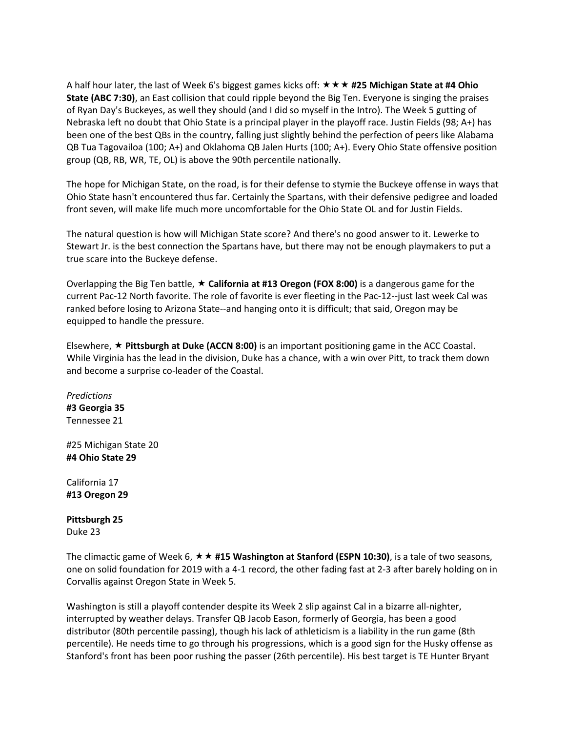A half hour later, the last of Week 6's biggest games kicks off: **#25 Michigan State at #4 Ohio State (ABC 7:30)**, an East collision that could ripple beyond the Big Ten. Everyone is singing the praises of Ryan Day's Buckeyes, as well they should (and I did so myself in the Intro). The Week 5 gutting of Nebraska left no doubt that Ohio State is a principal player in the playoff race. Justin Fields (98; A+) has been one of the best QBs in the country, falling just slightly behind the perfection of peers like Alabama QB Tua Tagovailoa (100; A+) and Oklahoma QB Jalen Hurts (100; A+). Every Ohio State offensive position group (QB, RB, WR, TE, OL) is above the 90th percentile nationally.

The hope for Michigan State, on the road, is for their defense to stymie the Buckeye offense in ways that Ohio State hasn't encountered thus far. Certainly the Spartans, with their defensive pedigree and loaded front seven, will make life much more uncomfortable for the Ohio State OL and for Justin Fields.

The natural question is how will Michigan State score? And there's no good answer to it. Lewerke to Stewart Jr. is the best connection the Spartans have, but there may not be enough playmakers to put a true scare into the Buckeye defense.

Overlapping the Big Ten battle, **California at #13 Oregon (FOX 8:00)** is a dangerous game for the current Pac-12 North favorite. The role of favorite is ever fleeting in the Pac-12--just last week Cal was ranked before losing to Arizona State--and hanging onto it is difficult; that said, Oregon may be equipped to handle the pressure.

Elsewhere, **Pittsburgh at Duke (ACCN 8:00)** is an important positioning game in the ACC Coastal. While Virginia has the lead in the division, Duke has a chance, with a win over Pitt, to track them down and become a surprise co-leader of the Coastal.

*Predictions* **#3 Georgia 35** Tennessee 21

#25 Michigan State 20 **#4 Ohio State 29**

California 17 **#13 Oregon 29**

**Pittsburgh 25** Duke 23

The climactic game of Week 6, **#15 Washington at Stanford (ESPN 10:30)**, is a tale of two seasons, one on solid foundation for 2019 with a 4-1 record, the other fading fast at 2-3 after barely holding on in Corvallis against Oregon State in Week 5.

Washington is still a playoff contender despite its Week 2 slip against Cal in a bizarre all-nighter, interrupted by weather delays. Transfer QB Jacob Eason, formerly of Georgia, has been a good distributor (80th percentile passing), though his lack of athleticism is a liability in the run game (8th percentile). He needs time to go through his progressions, which is a good sign for the Husky offense as Stanford's front has been poor rushing the passer (26th percentile). His best target is TE Hunter Bryant